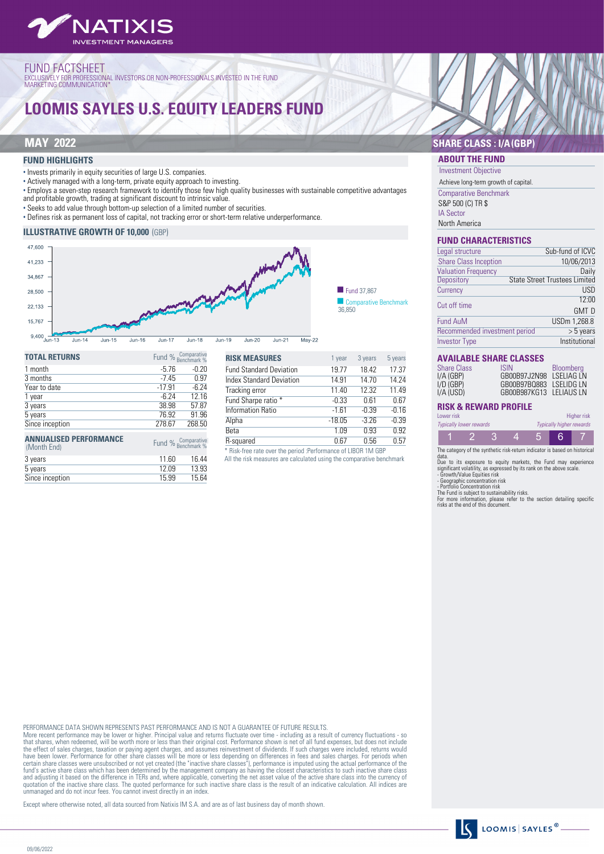

# FUND FACTSHEET<br>exclusively for professional investors or non-professionals invested in the fund<br>marketing communication\*

# **LOOMIS SAYLES U.S. EQUITY LEADERS FUND**

Since inception

#### **FUND HIGHLIGHTS**

• Invests primarily in equity securities of large U.S. companies.

• Actively managed with a long-term, private equity approach to investing.

• Employs a seven-step research framework to identify those few high quality businesses with sustainable competitive advantages and profitable growth, trading at significant discount to intrinsic value.

• Seeks to add value through bottom-up selection of a limited number of securities.

• Defines risk as permanent loss of capital, not tracking error or short-term relative underperformance.

#### **ILLUSTRATIVE GROWTH OF 10,000** (GBP)



| <b>TOTAL RETURNS</b>                         |          | Fund % Comparative<br>Benchmark % |
|----------------------------------------------|----------|-----------------------------------|
| 1 month                                      | $-5.76$  | $-0.20$                           |
| 3 months                                     | $-7.45$  | 0.97                              |
| Year to date                                 | $-17.91$ | $-6.24$                           |
| 1 year                                       | $-6.24$  | 12.16                             |
| 3 years                                      | 38.98    | 57.87                             |
| 5 years                                      | 76.92    | 91.96                             |
| Since inception                              | 278.67   | 268.50                            |
| <b>ANNUALISED PERFORMANCE</b><br>(Month End) |          | Fund % Comparative<br>Benchmark % |
| 3 years                                      | 11.60    | 16.44                             |
| 5 years                                      | 12.09    | 13.93                             |
| Since inception                              | 15.99    | 15.64                             |

| <b>RISK MEASURES</b>            | 1 year   | 3 years | 5 years |
|---------------------------------|----------|---------|---------|
| <b>Fund Standard Deviation</b>  | 19.77    | 18.42   | 17.37   |
| <b>Index Standard Deviation</b> | 14.91    | 14.70   | 14.24   |
| Tracking error                  | 11.40    | 12.32   | 11.49   |
| Fund Sharpe ratio *             | $-0.33$  | 0.61    | 0.67    |
| <b>Information Ratio</b>        | $-1.61$  | $-0.39$ | $-0.16$ |
| Alpha                           | $-18.05$ | $-3.26$ | $-0.39$ |
| Beta                            | 1.09     | 0.93    | 0.92    |
| R-squared                       | 0.67     | 0.56    | 0.57    |

\* Risk-free rate over the period :Performance of LIBOR 1M GBP

All the risk measures are calculated using the comparative benchmark

### **MAY 2022 SHARE CLASS : I/A(GBP)**

#### **ABOUT THE FUND** Investment Objective

Achieve long-term growth of capital.

Comparative Benchmark S&P 500 (C) TR \$

IA Sector North America

#### **FUND CHARACTERISTICS**

| Sub-fund of ICVC                             |
|----------------------------------------------|
| 10/06/2013                                   |
| Daily                                        |
| <b>State Street Trustees Limited</b>         |
| <b>USD</b>                                   |
| 12:00                                        |
| <b>GMT D</b>                                 |
| USDm 1,268.8                                 |
| Recommended investment period<br>$> 5$ years |
| Institutional                                |
|                                              |

#### **AVAILABLE SHARE CLASSES**

| <b>Share Class</b><br>I/A (GBP)<br>I/D (GBP)<br>I/A (USD) | <b>ISIN</b><br>GB00B97J2N98 LSELIAG LN<br>GB00B97B0883 LSELIDG LN<br>GB00B987KG13 LELIAUS LN | <b>Bloomberg</b> |
|-----------------------------------------------------------|----------------------------------------------------------------------------------------------|------------------|
|                                                           |                                                                                              |                  |

### **RISK & REWARD PROFILE**

| Lower risk                     |  |  |                                 | Higher risk |
|--------------------------------|--|--|---------------------------------|-------------|
| <b>Typically lower rewards</b> |  |  | <b>Typically higher rewards</b> |             |
|                                |  |  |                                 |             |

The category of the synthetic risk-return indicator is based on historical

data.<br>Due to its exposure to equity markets, the Fund may experience<br>Due to its exposure to equity markets, the Fund may experience<br>significant volatility, as expressed by its rank on the above scale.<br>- Geographic concentr

PERFORMANCE DATA SHOWN REPRESENTS PAST PERFORMANCE AND IS NOT A GUARANTEE OF FUTURE RESULTS.

More recent performance may be lower or higher. Principal value and returns fluctuate over time - including as a result of currency fluctuations - sc<br>that shares, when redeemed, will be worth more or less than thei origina have been lower. Performance for other share classes will be more or less depending on differences in fees and sales charges. For periods when<br>certain share classes were unsubscribed or not yet created (the "inactive share quotation of the inactive share class. The quoted performance for such inactive share class is the result of an indicative calculation. All indices are unmanaged and do not incur fees. You cannot invest directly in an index.

Except where otherwise noted, all data sourced from Natixis IM S.A. and are as of last business day of month shown.